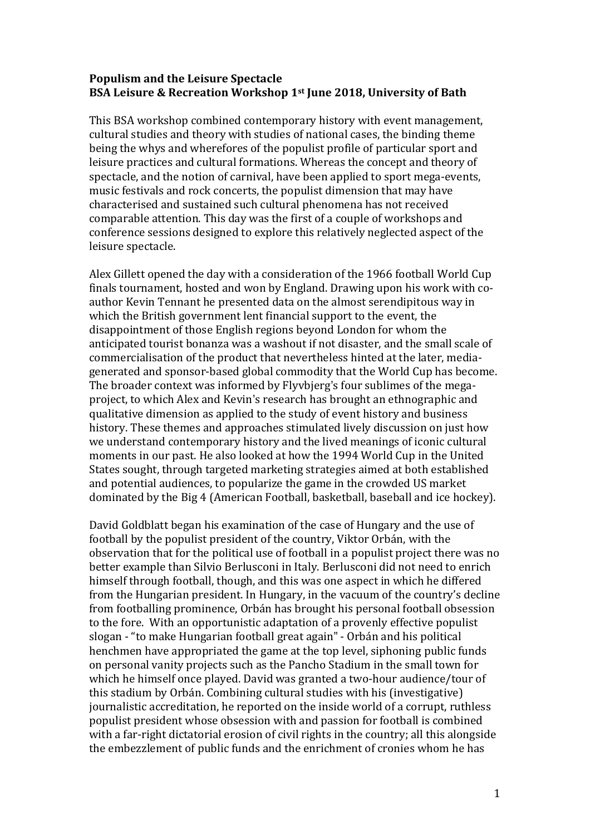## **Populism and the Leisure Spectacle BSA Leisure & Recreation Workshop 1st June 2018, University of Bath**

This BSA workshop combined contemporary history with event management, cultural studies and theory with studies of national cases, the binding theme being the whys and wherefores of the populist profile of particular sport and leisure practices and cultural formations. Whereas the concept and theory of spectacle, and the notion of carnival, have been applied to sport mega-events, music festivals and rock concerts, the populist dimension that may have characterised and sustained such cultural phenomena has not received comparable attention. This day was the first of a couple of workshops and conference sessions designed to explore this relatively neglected aspect of the leisure spectacle.

Alex Gillett opened the day with a consideration of the 1966 football World Cup finals tournament, hosted and won by England. Drawing upon his work with coauthor Kevin Tennant he presented data on the almost serendipitous way in which the British government lent financial support to the event, the disappointment of those English regions beyond London for whom the anticipated tourist bonanza was a washout if not disaster, and the small scale of commercialisation of the product that nevertheless hinted at the later, mediagenerated and sponsor-based global commodity that the World Cup has become. The broader context was informed by Flyvbjerg's four sublimes of the megaproject, to which Alex and Kevin's research has brought an ethnographic and qualitative dimension as applied to the study of event history and business history. These themes and approaches stimulated lively discussion on just how we understand contemporary history and the lived meanings of iconic cultural moments in our past. He also looked at how the 1994 World Cup in the United States sought, through targeted marketing strategies aimed at both established and potential audiences, to popularize the game in the crowded US market dominated by the Big 4 (American Football, basketball, baseball and ice hockey).

David Goldblatt began his examination of the case of Hungary and the use of football by the populist president of the country, Viktor Orbán, with the observation that for the political use of football in a populist project there was no better example than Silvio Berlusconi in Italy. Berlusconi did not need to enrich himself through football, though, and this was one aspect in which he differed from the Hungarian president. In Hungary, in the vacuum of the country's decline from footballing prominence, Orbán has brought his personal football obsession to the fore. With an opportunistic adaptation of a provenly effective populist slogan - "to make Hungarian football great again" - Orbán and his political henchmen have appropriated the game at the top level, siphoning public funds on personal vanity projects such as the Pancho Stadium in the small town for which he himself once played. David was granted a two-hour audience/tour of this stadium by Orbán. Combining cultural studies with his (investigative) journalistic accreditation, he reported on the inside world of a corrupt, ruthless populist president whose obsession with and passion for football is combined with a far-right dictatorial erosion of civil rights in the country; all this alongside the embezzlement of public funds and the enrichment of cronies whom he has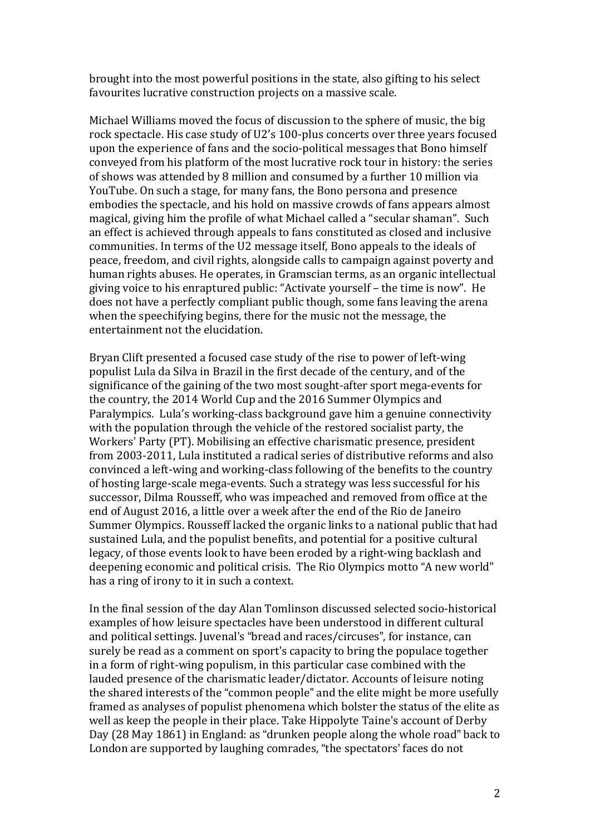brought into the most powerful positions in the state, also gifting to his select favourites lucrative construction projects on a massive scale.

Michael Williams moved the focus of discussion to the sphere of music, the big rock spectacle. His case study of U2's 100-plus concerts over three years focused upon the experience of fans and the socio-political messages that Bono himself conveyed from his platform of the most lucrative rock tour in history: the series of shows was attended by 8 million and consumed by a further 10 million via YouTube. On such a stage, for many fans, the Bono persona and presence embodies the spectacle, and his hold on massive crowds of fans appears almost magical, giving him the profile of what Michael called a "secular shaman". Such an effect is achieved through appeals to fans constituted as closed and inclusive communities. In terms of the U2 message itself, Bono appeals to the ideals of peace, freedom, and civil rights, alongside calls to campaign against poverty and human rights abuses. He operates, in Gramscian terms, as an organic intellectual giving voice to his enraptured public: "Activate yourself – the time is now". He does not have a perfectly compliant public though, some fans leaving the arena when the speechifying begins, there for the music not the message, the entertainment not the elucidation.

Bryan Clift presented a focused case study of the rise to power of left-wing populist Lula da Silva in Brazil in the first decade of the century, and of the significance of the gaining of the two most sought-after sport mega-events for the country, the 2014 World Cup and the 2016 Summer Olympics and Paralympics. Lula's working-class background gave him a genuine connectivity with the population through the vehicle of the restored socialist party, the Workers' Party (PT). Mobilising an effective charismatic presence, president from 2003-2011, Lula instituted a radical series of distributive reforms and also convinced a left-wing and working-class following of the benefits to the country of hosting large-scale mega-events. Such a strategy was less successful for his successor, Dilma Rousseff, who was impeached and removed from office at the end of August 2016, a little over a week after the end of the Rio de Janeiro Summer Olympics. Rousseff lacked the organic links to a national public that had sustained Lula, and the populist benefits, and potential for a positive cultural legacy, of those events look to have been eroded by a right-wing backlash and deepening economic and political crisis. The Rio Olympics motto "A new world" has a ring of irony to it in such a context.

In the final session of the day Alan Tomlinson discussed selected socio-historical examples of how leisure spectacles have been understood in different cultural and political settings. Juvenal's "bread and races/circuses", for instance, can surely be read as a comment on sport's capacity to bring the populace together in a form of right-wing populism, in this particular case combined with the lauded presence of the charismatic leader/dictator. Accounts of leisure noting the shared interests of the "common people" and the elite might be more usefully framed as analyses of populist phenomena which bolster the status of the elite as well as keep the people in their place. Take Hippolyte Taine's account of Derby Day (28 May 1861) in England: as "drunken people along the whole road" back to London are supported by laughing comrades, "the spectators' faces do not